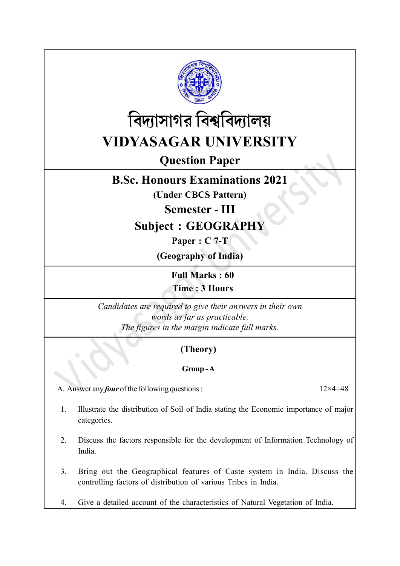



# Question Paper

## B.Sc. Honours Examinations 2021

(Under CBCS Pattern)

Semester - III

Subject : GEOGRAPHY

Paper : C 7-T

(Geography of India)

Full Marks : 60 Time : 3 Hours

Candidates are required to give their answers in their own words as far as practicable. The figures in the margin indicate full marks.

### (Theory)

#### Group - A

A. Answer any *four* of the following questions :  $12 \times 4 = 48$ 

1. Illustrate the distribution of Soil of India stating the Economic importance of major categories.

- 2. Discuss the factors responsible for the development of Information Technology of India.
- 3. Bring out the Geographical features of Caste system in India. Discuss the controlling factors of distribution of various Tribes in India.
- 4. Give a detailed account of the characteristics of Natural Vegetation of India.